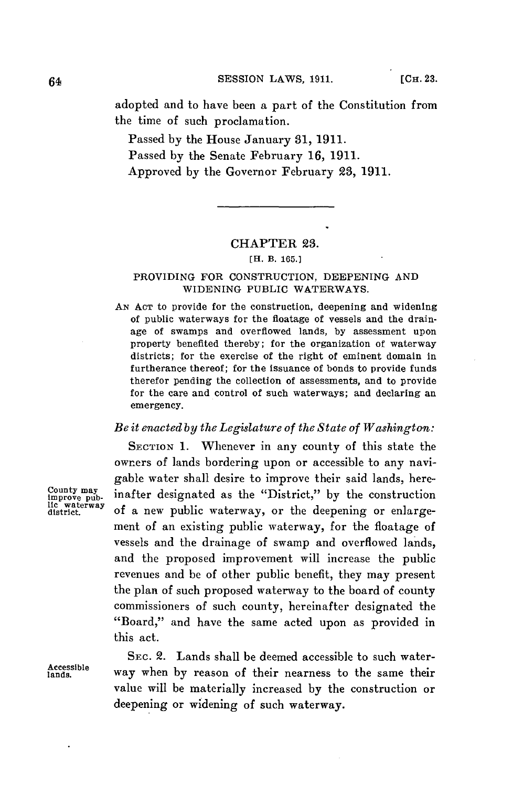**64 SESSION LAWS, 1911.** [CH. 23.

adopted and to have been a part of the Constitution from the time of such proclamation.

Passed **by** the House January **31, 1911.** Passed **by** the Senate February **16, 1911.** Approved **by** the Governor February **23, 1911.**

# CHAPTER **3.**

**[H. B. 165.]**

### PROVIDING FOR CONSTRUCTION, **DEEPENING AND** WIDENING **PUBLIC** WATERWAYS.

**AN ACT** to provide for the construction, deepening and widening of public waterways for the floatage of vessels and the drainage of swamps and overflowed lands, **by** assessment upon property benefited thereby; for the organization of waterway districts; for the exercise of the right of eminent domain in furtherance thereof; for the issuance of bonds to provide funds therefor pending the collection of assessments, and to provide for the care and control of such waterways; and declaring an emergency.

### *Be it enacted by the Legislature of the State of Washington:*

SECTION **1.** Whenever in any county of this state the owners of lands bordering upon or accessible to any navigable water shall desire to improve their said lands, hereinafter designated as the "District," by the construction of a new public waterway, or the deepening or enlargement of an existing public waterway, for the floatage of vessels and the drainage of swamp and overflowed lands, and the proposed improvement will increase the public revenues and be of other public benefit, they may present the plan of such proposed waterway to the board of county commissioners of such county, hereinafter designated the "Board," and have the same acted upon as provided in this act.

SEC. 2. Lands shall be deemed accessible to such water**lan2dsible** way when **by** reason of their nearness to the same their value will be materially increased **by** the construction or deepening or widening of such waterway.

**County**  limprove pub-<br>lic waterway<br>district.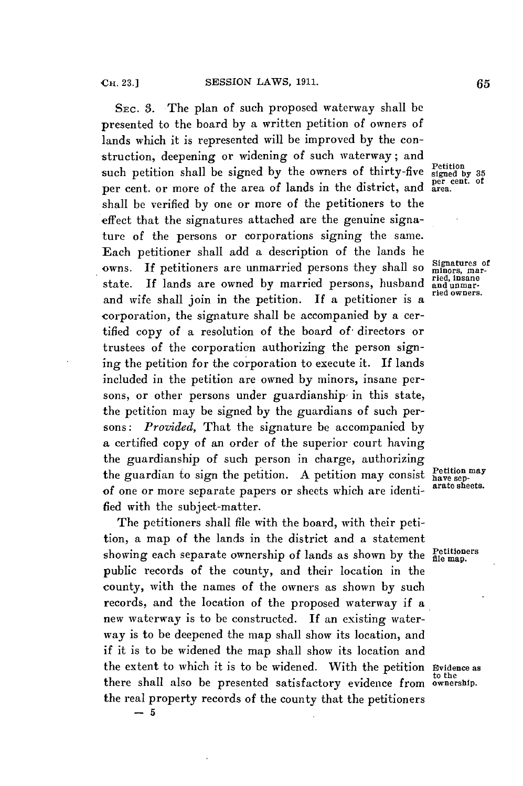SEc. **3.** The plan of such proposed waterway shall **be** presented to the board **by** a written petition of owners of lands which it is represented will be improved **by** the construction, deepening or widening of such waterway; and such petition shall be signed by the owners of thirty-five signed by 35 per cent. or more of the area of lands in the district, and shall be verified **by** one or more of the petitioners to the effect that the signatures attached are the genuine signature of the persons or corporations signing the same. Each petitioner shall add a description of the lands he owns. If petitioners are unmarried persons they shall so Signatures of state. If lands are owned by married persons, husband and unmarstate. If lands are owned by married persons, husband and unmar-<br>and wife shall join in the petition. If a petitioner is a corporation, the signature shall be accompanied **by** a certified copy of a resolution of the board of- directors or trustees of the corporation authorizing the person signing the petition for the corporation to execute it. **If** lands included in the petition are owned **by** minors, insane persons, or other persons under guardianship in this state, the petition may be signed **by** the guardians of such persons: *Provided,* That the signature be accompanied **by** a certified copy of an order of the superior court having the guardianship of such person in charge, authorizing the guardian to sign the petition. A petition may consist **Petition may** of one or move separate person as a part of the sapet sapple. of one or more separate papers or sheets which are identified with the subject-matter.

The petitioners shall file with the board, with their petition, a map of the lands in the district and a statement showing each separate ownership of lands as shown by the **Petitioners** public records of the county, and their location in the county, with the names of the owners as shown **by** such records, and the location of the proposed waterway if a new waterway is to be constructed. **If** an existing waterway is to be deepened the map shall show its location, and if it is to be widened the map shall show its location and the extent to which it is to be widened. With the petition Evidence as<br>there shall also be presented satisfactory evidence from ownership. there shall also be presented satisfactory evidence from the real property records of the county that the petitioners **-5**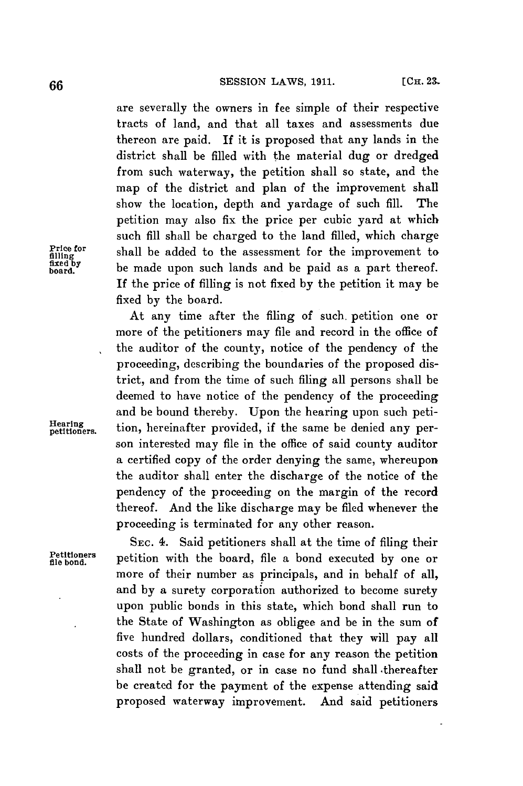are severally the owners in fee simple of their respective tracts of land, and that all taxes and assessments due thereon are paid. **If** it is proposed that any lands in the district shall be filled with the material dug or dredged from such waterway, the petition shall so state, and the map of the district and plan of the improvement shall show the location, depth and yardage of such **fill.** The petition may also fix the price per cubic yard at which such **fill** shall be charged to the land filled, which charge **Price for** shall be added to the assessment for the improvement to **<sup>d</sup>**be made upon such lands and **be** paid as a part thereof. **If** the price of filling is not fixed **by** the petition it may be fixed **by** the board.

At any time after the filing of such. petition one or more of the petitioners may file and record in the office of the auditor of the county, notice of the pendency of the proceeding, describing the boundaries of the proposed district, and from the time of such filing all persons shall be deemed to have notice of the pendency of the proceeding and be bound thereby. Upon the hearing upon such peti**petitioners.** tion, hereinafter provided, if the same be denied any person interested may file in the office of said county auditor a certified copy of the order denying the same, whereupon the auditor shall enter the discharge of the notice of the pendency of the proceeding on the margin of the record thereof. And the like discharge may be filed whenever the proceeding is terminated for any other reason.

> SEc. 4. Said petitioners shall at the time of filing their **file bond,** petition with the board, file a bond executed **by** one or more of their number as principals, and in behalf of all, and **by** a surety corporation authorized to become surety upon public bonds in this state, which bond shall run to the State of Washington as obligee and be in the sum of five hundred dollars, conditioned that they will pay all costs of the proceeding in case for any reason the petition shall not be granted, or in case no fund shall .thereafter be created for the payment of the expense attending said proposed waterway improvement. And said petitioners

**fixeling**

**Petitioners**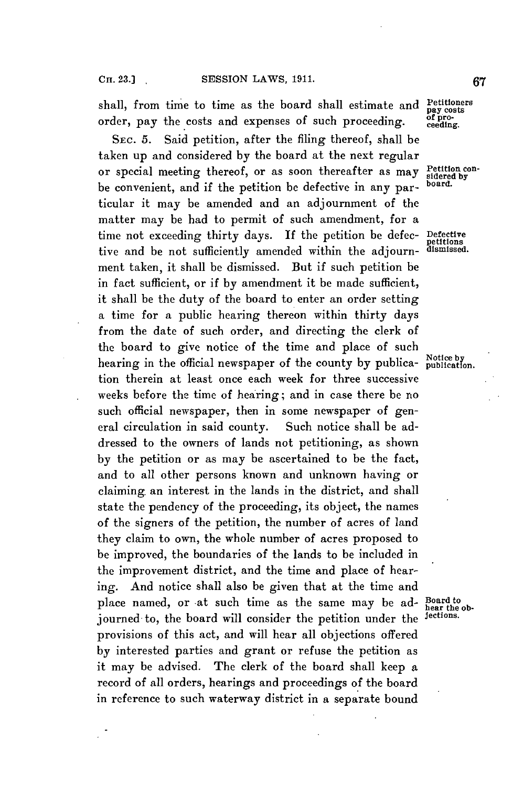shall, from time to time as the board shall estimate and  $\frac{\text{Petitioners}}{\text{pay roots}}$ order, pay the costs and expenses of such proceeding. **of** pro-

**SEc. 5.** Said petition, after the filing thereof, shall be taken up and considered **by** the board at the next regular or special meeting thereof, or as soon thereafter as may Petition conbe convenient, and if the petition **be** defective in any par- board. ticular it may be amended and an adjournment of the matter may be had to permit of such amendment, for a time not exceeding thirty days. If the petition be defec- Defective tive and be not sufficiently amended within the adjourn- dismissed. ment taken, it shall be dismissed. But if such petition be in fact sufficient, or if **by** amendment it be made sufficient, it shall be the duty of the board to enter an order setting a time for a public hearing thereon within thirty days from the date of such order, and directing the clerk of the board to give notice of the time and place of such hearing in the official newspaper of the county by publica- Notice by tion therein at least once each week for three successive weeks before the time of hearing; and in case there be no such official newspaper, then in some newspaper of general circulation in said county. Such notice shall be addressed to the owners of lands not petitioning, as shown **by** the petition or as may be ascertained to be the fact, and to all other persons known and unknown having or claiming an interest in the lands in the district, and shall state the pendency of the proceeding, its object, the names of the signers of the petition, the number of acres of land they claim to own, the whole number of acres proposed to be improved, the boundaries of the lands to be included in the improvement district, and the time and place of hearing. And notice shall also be given that at the time and place named, or at such time as the same may be ad- Board to hear the ob-<br>iourned to the board will consider the petition under the lections. journed to, the board will consider the petition under the provisions of this act, and will hear all objections offered **by** interested parties and grant or refuse the petition as it may be advised. The clerk of the board shall keep a record of all orders, hearings and proceedings of the board in reference to such waterway district in a separate bound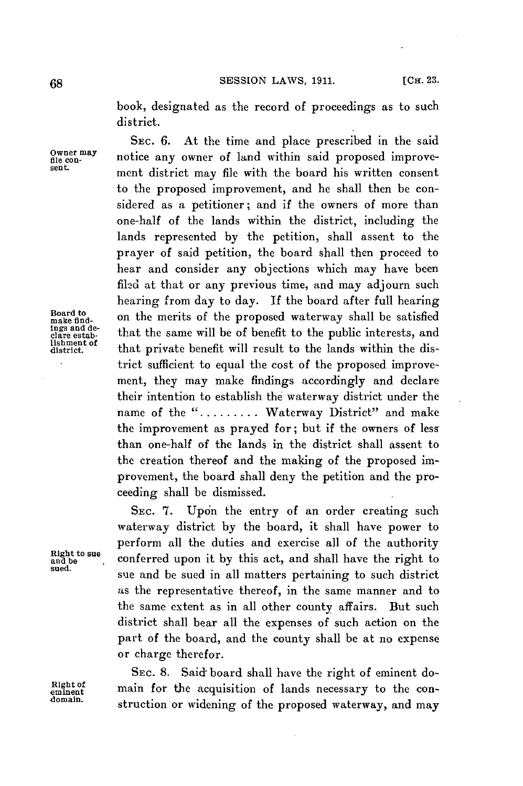book, designated as the record of proceedings as to such district.

**SEC. 6.** At the time and place prescribed in the said Owner may **notice any owner of land within said proposed improve-**<br>sent. ment district may file with the board his written consent to the proposed improvement, and he shall then be considered as a petitioner; and if the owners of more than one-half of the lands within the district, including the lands represented **by** the petition, shall assent to the prayer of said petition, the board shall then proceed to hear and consider any objections which may have been filed at that or any previous time, and may adjourn such hearing from day to day. **If** the board after full hearing Board to<br>make find-<br>ings and de-<br>that the same will be of hought to the public interests and make nud.<br> **Late estable 1.** That the same will be of benefit to the public interests, and<br>
edgre estable that private benefit will result to the lands within the district sufficient to equal the cost of the proposed improvement, they may make findings accordingly and declare their intention to establish the waterway district under the name of the "........ Waterway District" and make the improvement as prayed for; but if the owners of less than one-half of the lands in the district shall assent to the creation thereof and the making of the proposed improvement, the board shall deny the petition and the proceeding shall be dismissed.

SEC. 7. Upon the entry of an order creating such waterway district **by** the board, it shall have power to perform all the duties and exercise all of the authority **Right to sue and be** conferred upon it **by** this act, and shall have the right to **sued.** sue and be sued in all matters pertaining to such district as the representative thereof, in the same manner and to the same extent as in all other county affairs. But such district shall bear all the expenses of such action on the part of the board, and the county shall be at no expense or charge therefor.

SEC. **8.** Said board shall have the right of eminent do-Right of main for the acquisition of lands necessary to the construction or widening of the proposed waterway, and may

**lishment of**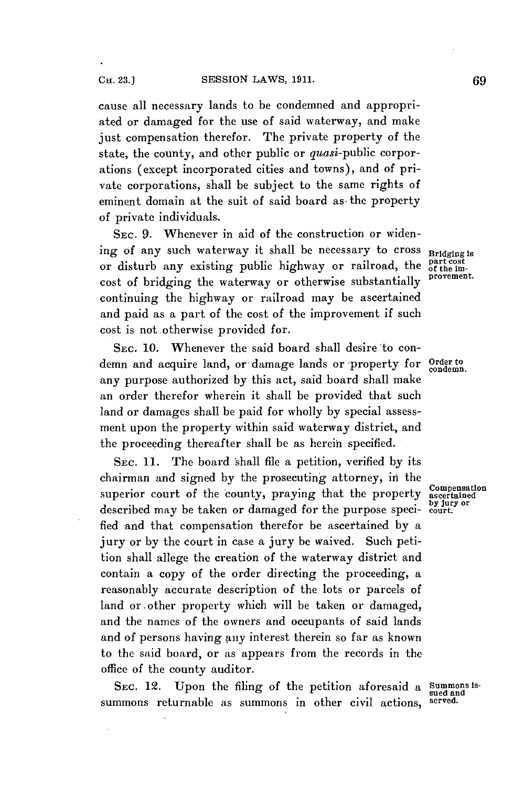cause all necessary lands to be condemned and appropriated or damaged for the use of said waterway, and make just compensation therefor. The private property of the state, the county, and other public or *quasi*-public corporations (except incorporated cities and towns), and of private corporations, shall be subject to the same rights of eminent domain at the suit of said board as the property of private individuals.

**SEC. 9.** Whenever in aid of the construction or widening of any such waterway it shall be necessary to cross **Bridging is**<br>or disturb any existing public highway or railroad, the **part** cost or disturb any existing public highway or railroad, the part cost cost of bridging the waterway or otherwise substantially continuing the highway or railroad may be ascertained and paid as a part of the cost of the improvement if such cost is not otherwise provided for.

SEC. **10.** Whenever the said board shall desire to condemn and acquire land, or damage lands or property for **Order to** any purpose authorized **by** this act, said board shall make an order therefor wherein it shall be provided that such land or damages shall be paid for wholly **by** special assessment upon the property within said waterway district, and the proceeding thereafter shall be as herein specified.

**SEC. 11.** The board shall file a petition, verified **by** its chairman and signed **by** the prosecuting attorney, in the superior court of the county, praying that the property ascertained **.by jury or** described may be taken or damaged for the purpose speci- **court.** fied and that compensation therefor be ascertained **by** a jury or **by** the court in case a jury be waived. Such petition shall allege the creation of the waterway district and contain a copy of the order directing the proceeding, a reasonably accurate description of the lots or parcels of land or other property which will be taken or damaged, and the names of the owners and occupants of said lands and of persons having any interest therein so far as known to the said board, or as appears from the records in the office of the county auditor.

SEC. 12. Upon the filing of the petition aforesaid a Summons issummons returnable as summons in other civil actions,

condemn.

**sued and**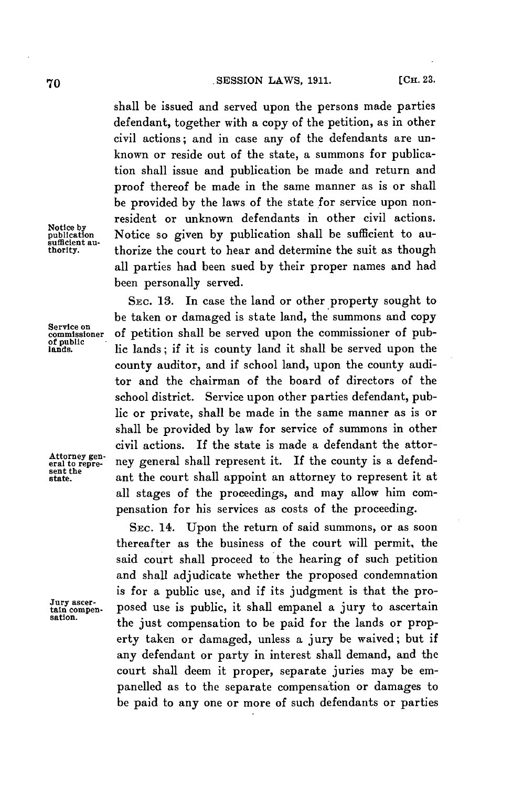shall be issued and served upon the persons made parties defendant, together with a copy of the petition, as in other civil actions; and in case any of the defendants are unknown or reside out of the state, a summons for publication shall issue and publication be made and return and proof thereof be made in the same manner as is or shall be provided **by** the laws of the state for service upon nonresident or unknown defendants in other civil actions. Notice **by** publication Notice so given **by** publication shall be sufficient to ausufficient au-<br>thority. thorize the court to hear and determine the suit as though all parties had been sued **by** their proper names and had been personally served.

SEC. **13.** In case the land or other property sought to be taken or damaged is state land, the summons and copy Service on<br>commissioner of petition shall be served upon the commissioner of pub-<br>dands. lic lands; if it is county land it shall be served upon the county auditor, and if school land, upon the county auditor and the chairman of the board of directors of the school district. Service upon other parties defendant, public or private, shall be made in the same manner as is or shall be provided **by** law for service of summons in other civil actions. **If** the state is made a defendant the attor-Attorney gen-<br>eral to repre- ney general shall represent it. If the county is a defendant the court shall appoint an attorney to represent it at all stages of the proceedings, and may allow him compensation for his services as costs of the proceeding.

SEc. 14. Upon the return of said summons, or as soon thereafter as the business of the court will permit, the said court shall proceed to the hearing of such petition and shall adjudicate whether the proposed condemnation is for a public use, and if its judgment is that the pro-Jury ascer-<br>tain compen- posed use is public, it shall empanel a jury to ascertain<br>sation. the just compensation to be paid for the lands or property taken or damaged, unless a jury be waived; but if any defendant or party in interest shall demand, and the court shall deem it proper, separate juries may be empanelled as to the separate compensation or damages to be paid to any one or more of such defendants or parties

sent the<br>state.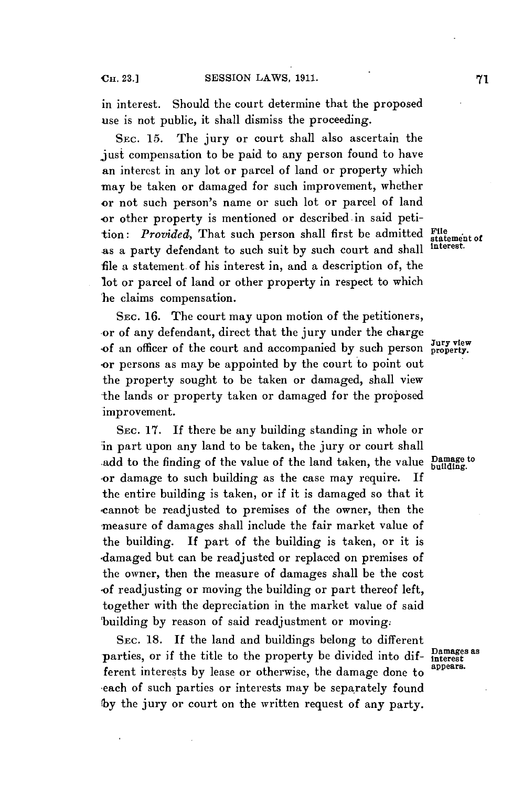in interest. Should the court determine that the proposed use is not public, it shall dismiss the proceeding.

SEc. **15.** The jury or court shall also ascertain the just compensation to be paid to any person found to have an interest in any lot or parcel of land or property which may be taken or damaged for such improvement, whether or not such person's name or such lot or parcel of land or other property is mentioned or described in said petition: *Provided*, That such person shall first be admitted **File** statement of as a party defendant to such suit **by** such court and shall **interest.** file a statement. of his interest in, and a description of, the lot or parcel of land or other property in respect to which he claims compensation.

SEc. **16.** The court may upon motion of the petitioners, or of any defendant, direct that the jury under the charge<br>of an officer of the court and accompanied by such person **property**. .or persons as may be appointed **by** the court to point out the property sought to be taken or damaged, shall view the lands or property taken or damaged for the proposed improvement.

SEc. **17. If** there be any building standing in whole or in part upon any land to be taken, the jury or court shall add to the finding of the value of the land taken, the value **Damage to building.** or damage to such building as the case may require. **If** the entire building is taken, or if it is damaged so that it ,cannot be readjusted to premises of the owner, then the measure of damages shall include the fair market value of the building. **If** part of the building is taken, or it is damaged but can be readjusted or replaced on premises of the owner, then the measure of damages shall be the cost .of readjusting or moving the building or part thereof left, together with the depreciation in the market value of said building **by** reason of said readjustment or moving.

SEc. **18. If** the land and buildings belong to different parties, or if the title to the property be divided into dif-<br>function the line of the property appears. ferent interests by lease or otherwise, the damage done to -each of such parties or interests may be separately found **by** the jury or court on the written request of any party.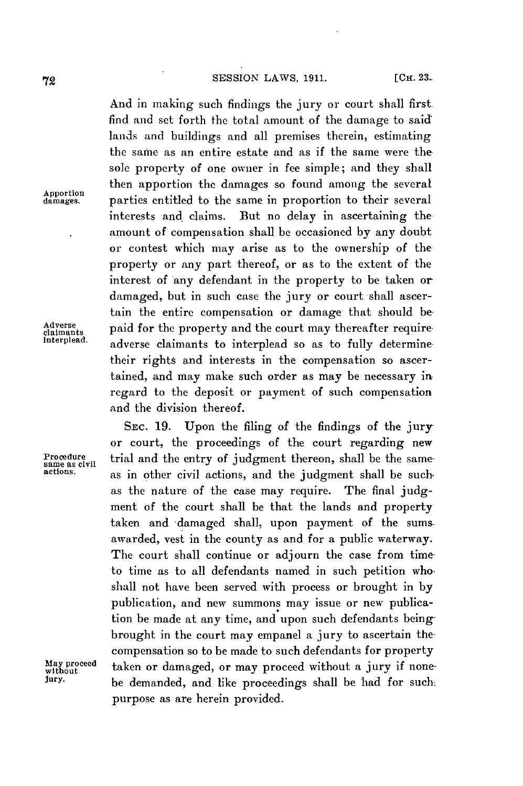And in making such findings the jury or court shall first find and set forth the total amount of the damage to said lands and buildings and all premises therein, estimating the sarne as an entire estate and as if the same were the sole property of one owner in fee simple; and they shall then apportion the damages so found among the several parties entitled to the same in proportion to their several interests and claims. But no delay in ascertaining the amount of compensation shall be occasioned **by** any doubt or contest which may arise as to the ownership of the property or any part thereof, or as to the extent of the interest of any defendant in the property to be taken or damaged, but in such case the jury or court shall ascertain the entire compensation or damage that should be Adverse paid for the property and the court may thereafter requireinterplead. **adverse claimants to interplead so as to fully determine** their rights and interests in the compensation so ascertained, and may make such order as may be necessary in regard to the deposit or payment of such compensation and the division thereof.

**SEC. 19.** Upon the filing of the findings of the jury or court, the proceedings of the court regarding new **Procedure trial and the entry of judgment thereon, shall be the same same as civil as compared to the same as civil actions** as in other civil actions, and the judgment shall be such. as the nature of the case may require. The final **judg**ment of the court shall be that the lands and property taken and 'damaged shall, upon payment of the sums awarded, vest in the county as and for a public waterway. The court shall continue or adjourn the case from time to time as to all defendants named in such petition who. shall not have been served with process or brought in **by** publication, and new summons may issue or new publication be made at any time, and upon such defendants being brought in the court may empanel a jury to ascertain the compensation so to be made to such defendants for property May proceed taken or damaged, or may proceed without a jury if none-<br>without be demanded and like proceedings shall be hed for such **jury.** be demanded, and like proceedings shall be had for such. purpose as are herein provided.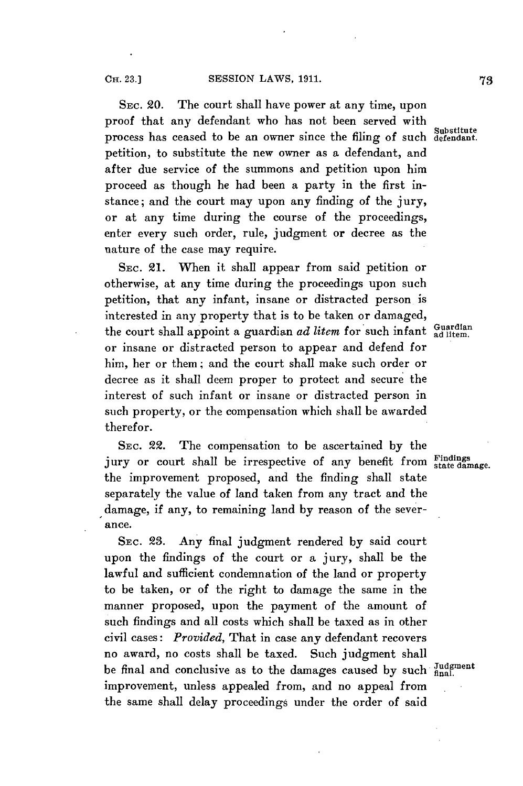SEc. 20. The court shall have power at any time, upon proof that any defendant who has not been served with **Substitute** process has ceased to be an owner since the filing of such **defendant.** petition, to substitute the new owner as a defendant, and after due service of the summons and petition upon him proceed as though he had been a party in the first instance; and the court may upon any finding of the jury, or at any time during the course of the proceedings, enter every such order, rule, judgment or decree as the nature of the case may require.

SEc. 21. When it shall appear from said petition or otherwise, at any time during the proceedings upon such petition, that any infant, insane or distracted person is interested in any property that is to be taken or damaged, the court shall appoint a guardian *ad litem* for such infant ad litem. or insane or distracted person to appear and defend for him, her or them; and the court shall make such order or decree as it shall deem proper to protect and secure the interest of such infant or insane or distracted person in such property, or the compensation which shall be awarded therefor.

SEc. 22. The compensation to be ascertained **by** the jury or court shall be irrespective of any benefit from Findings the improvement proposed, and the finding shall state separately the value of land taken from any tract and the damage, if any, to remaining land **by** reason of the severance.

SEc. **23.** Any final judgment rendered **by** said court upon the findings of the court or a jury, shall be the lawful and sufficient condemnation of the land or property to be taken, or of the right to damage the same in the manner proposed, upon the payment of the amount of such findings and all costs which shall be taxed as in other civil cases: *Provided,* That in case any defendant recovers no award, no costs shall be taxed. Such judgment shall be final and conclusive as to the damages caused **by** such fient improvement, unless appealed from, and no appeal from the same shall delay proceedings under the order of said

**OH. 23.]**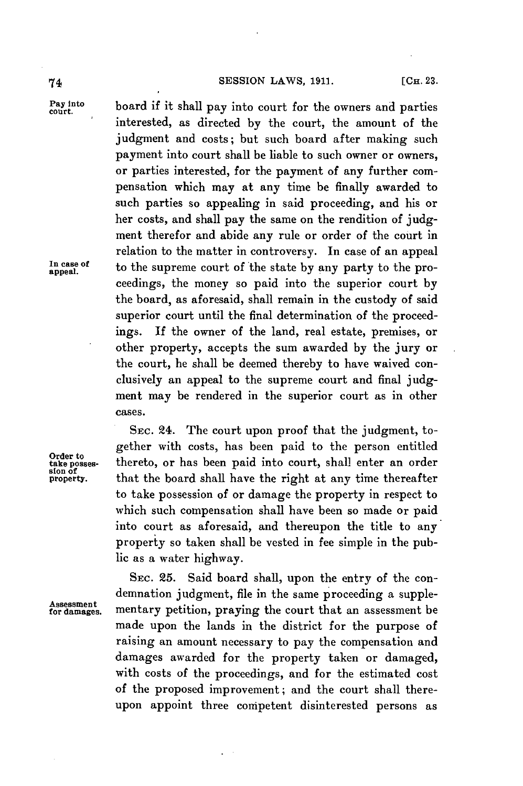## **74 SESSION LAWS, 1911.** [Сн. 23.

In case of appeal.

Pay into board if it shall pay into court for the owners and parties interested, as directed **by** the court, the amount of the judgment and costs; but such board after making such payment into court shall be liable to such owner or owners, or parties interested, for the payment of any further compensation which may at any time be finally awarded to such parties so appealing in said proceeding, and his or her costs, and shall pay the same on the rendition of **judg**ment therefor and abide any rule or order of the court in relation to the matter in controversy. In case of an appeal to the supreme court of the state by any party to the proceedings, the money so paid into the superior court **by** the board, as aforesaid, shall remain in the custody of said superior court until the final determination of the proceedings. If the owner of the land, real estate, premises, or other property, accepts the sum awarded **by** the jury or the court, he shall be deemed thereby to have waived conclusively an appeal to the supreme court and final **judg**ment may be rendered in the superior court as in other cases.

SEc. 24. The court upon proof that the judgment, together with costs, has been paid to the person entitled<br>take posses-<br>thereto, or has been paid into court, shall enter an order thereto, or has been paid into court, shall enter an order that the board shall have the right at any time thereafter to take possession of or damage the property in respect to which such compensation shall have been so made or paid into court as aforesaid, and thereupon the title to any property so taken shall be vested in fee simple in the public as a water highway.

SEc. **25.** Said board shall, upon the entry of the condemnation judgment, file in the same proceeding a supple-<br>for damages. mentary petition, praying the court that an assessment be mentary petition, praying the court that an assessment be made upon the lands in the district for the purpose of raising an amount necessary to pay the compensation and damages awarded for the property taken or damaged, with costs of the proceedings, and for the estimated cost of the proposed improvement; and the court shall thereupon appoint three competent disinterested persons as

slon **of**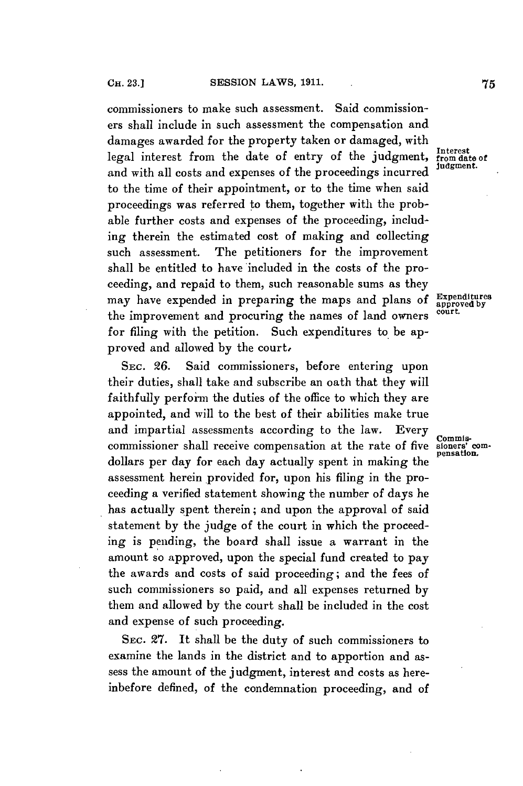commissioners to make such assessment. Said commissioners shall include in such assessment the compensation and damages awarded for the property taken or damaged, with legal interest from the date of entry of the judgment, Interest<br>legal interest from the date of entry of the judgment. and with all costs and expenses of the proceedings incurred to the time of their appointment, or to the time when said proceedings was referred **to** them, together with the probable further costs and expenses of the proceeding, including therein the estimated cost of making and collecting such assessment. The petitioners for the improvement shall be entitled to have included in the costs of the proceeding, and repaid to them, such reasonable sums as they may have expended in preparing the maps and plans of  $\frac{Expectedtures}{approved by}$ the improvement and procuring the names of land owners court. for filing with the petition. Such expenditures to be approved and allowed **by** the court,

**SEc. 26.** Said commissioners, before entering upon their duties, shall take and subscribe an oath that they will faithfully perform the duties of the office to which they are appointed, and will to the best of their abilities make true and impartial assessments according to the law. Every commis-<br>commissioner shall receive compensation at the rate of five sioners' comcommissioner shall receive compensation at the rate of five sioners' comdollars per day for each day actually spent in making the assessment herein provided for, upon his filing in the proceeding a verified statement showing the number of days he has actually spent therein; and upon the approval of said statement **by** the judge of the court in which the proceeding is pending, the board shall issue a warrant in the amount so approved, upon the special fund created to pay the awards and costs of said proceeding; and the fees of such commissioners so paid, and all expenses returned **by** them and allowed **by** the court shall be included in the cost and expense of such proceeding.

SEC. **27.** It shall be the duty of such commissioners to examine the lands in the district and to apportion and assess the amount of the judgment, interest and costs as hereinbefore defined, of the condemnation proceeding, and of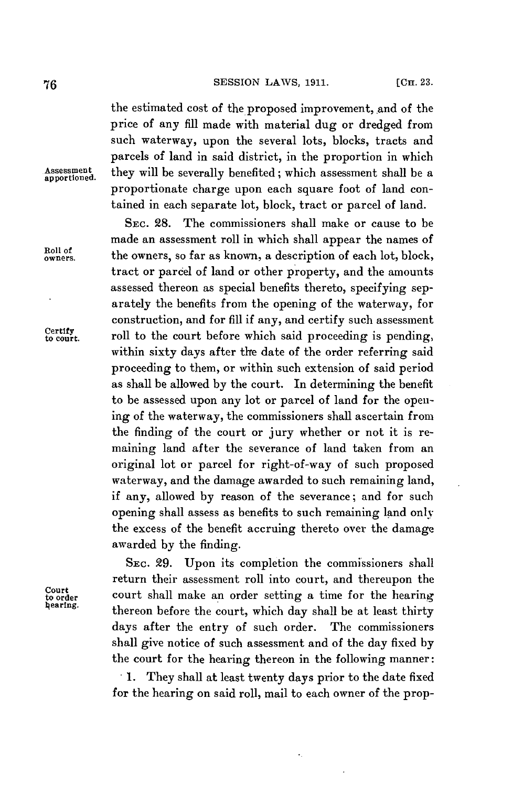the estimated cost of the proposed improvement, and of the price of any fill made with material dug or dredged from such waterway, upon the several lots, blocks, tracts and parcels of land in said district, in the proportion in which Assessment they will be severally benefited; which assessment shall be a proportionate charge upon each square foot of land contained in each separate lot, block, tract or parcel of land.

**SEC. 28.** The commissioners shall make or cause to be made an assessment roll in which shall appear the names of Roll of the owners, so far as known, a description of each lot, block, tract or parcel of land or other property, and the amounts assessed thereon as special benefits thereto, specifying separately the benefits from the opening of the waterway, for construction, and for **fill** if any, and certify such assessment Certify court. roll to the court before which said proceeding is pending, within sixty days after the date of the order referring said proceeding to them, or within such extension of said period as shall be allowed **by** the court. In determining the benefit to be assessed upon any lot or parcel of land for the opening of the waterway, the commissioners shall ascertain from the finding of the court or jury whether or not it is remaining land after the severance of land taken from an original lot or parcel for right-of-way of such proposed waterway, and the damage awarded to such remaining land, if any, allowed **by** reason of the severance; and for such opening shall assess as benefits to such remaining land only the excess of the benefit accruing thereto over the damage awarded **by** the finding.

SEC. **29.** Upon its completion the commissioners shall return their assessment roll into court, and thereupon the Court court shall make an order setting a time for the hearing<br>thereon before the court, which day shall be at least thirty days after the entry of such order. The commissioners shall give notice of such assessment and of the day fixed **by** the court for the hearing thereon in the following manner:

> **. 1. They** shall at least twenty days prior to the date fixed for the hearing on said roll, mail to each owner of the prop-

Court<br>to order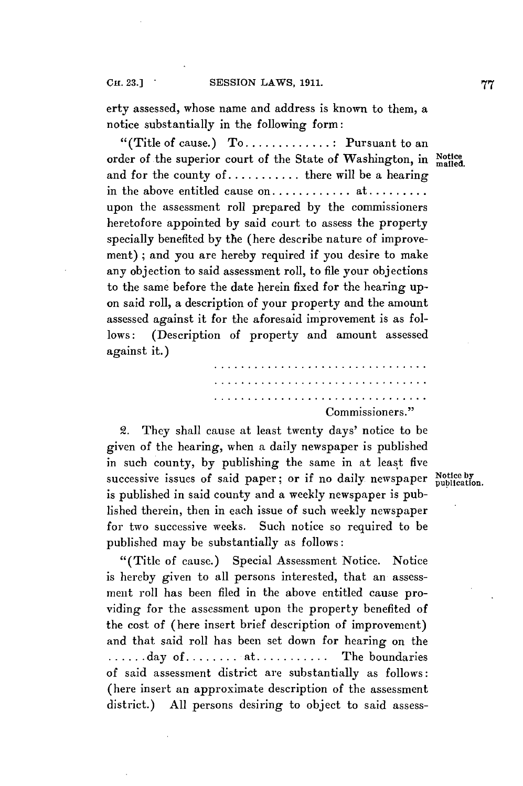erty assessed, whose name and address is known to them, a notice substantially in the following form:

"(Title of cause.) **To.............** Pursuant to an order of the superior court of the State of Washington, in Notice and for the county of **...........** there will be a hearing in the above entitled cause **on............** at **........** upon the assessment roll prepared **by** the commissioners heretofore appointed **by** said court to assess the property specially benefited **by** the (here describe nature of improvement) **;** and you are hereby required if you desire to make any objection to said assessment roll, to file your objections to the same before the date herein fixed for the hearing upon said roll, a description of your property and the amount assessed against it for the aforesaid improvement is as follows: (Description of property and amount assessed against it.)

Commissioners."

2. They shall cause at least twenty days' notice to be given of the hearing, when a daily newspaper is published in such county, by publishing the same in at least five successive issues of said paper; or if no daily newspaper Notice by is published in said county and a weekly newspaper is published therein, then in each issue of such weekly newspaper for two successive weeks. Such notice so required to be published may be substantially as follows:

"(Title of cause.) Special Assessment Notice. Notice is hereby given to all persons interested, that an assessment roll has been filed in the above entitled cause providing for the assessment upon the property benefited of the cost of (here insert brief description of improvement) and that said roll has been set down for hearing on the **......** day of **........** at **...........** The boundaries of said assessment district are substantially as follows: (here insert an approximate description of the assessment district.) **All** persons desiring to object to said assess-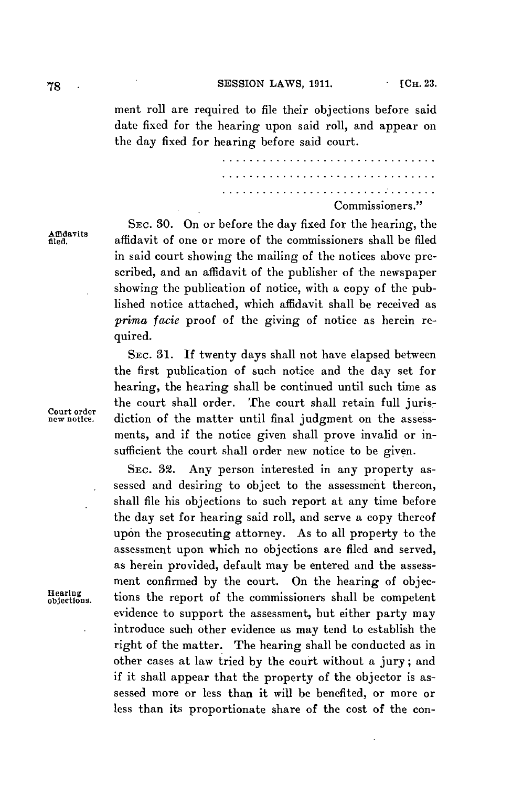**78 . SESSION LAWS, 1911. . 1911. . 1911. 1911. 1911. 1911. 1911. 1911. 1911. 1911. 1911. 1911. 1911. 1911. 1911. 1911. 1911. 1911. 1911. 1911. 1911. 1911. 1911. 1911.** 

ment roll are required to file their objections before said date fixed for the hearing upon said roll, and appear on the day fixed for hearing before said court.

> Commissioners."

SEC. 30. On or before the day fixed for the hearing, the<br>
affidavit of one or more of the commissioners shall be filed in said court showing the mailing of the notices above prescribed, and an affidavit of the publisher of the newspaper showing the publication of notice, with a copy of the published notice attached, which affidavit shall be received as *prima facie* proof of the giving of notice as herein required.

SEC. **31. If** twenty days shall not have elapsed between the first publication of such notice and the day set for hearing, the hearing shall be continued until such time as the court shall order. The court shall retain full juris-<br> **Court order** diction of the matter until final judgment on the assessments, and if the notice given shall prove invalid or insufficient the court shall order new notice to be given.

**SEC. 32.** Any person interested in any property assessed and desiring to object to the assessment thereon, shall file his objections to such report at any time before the day set for hearing said roll, and serve a copy thereof upon the prosecuting attorney. As to all property to the assessment upon which no objections are filed and served, as herein provided, default may be entered and the assessment confirmed **by** the court. On the hearing of objec**ions.** tions the report of the commissioners shall be competent evidence to support the assessment, but either party may introduce such other evidence as may tend to establish the right of the matter. The hearing shall be conducted as in other cases at law tried **by** the court without a jury; and if it shall appear that the property of the objector is assessed more or less than it will be benefited, or more or less than its proportionate share of the cost of the con-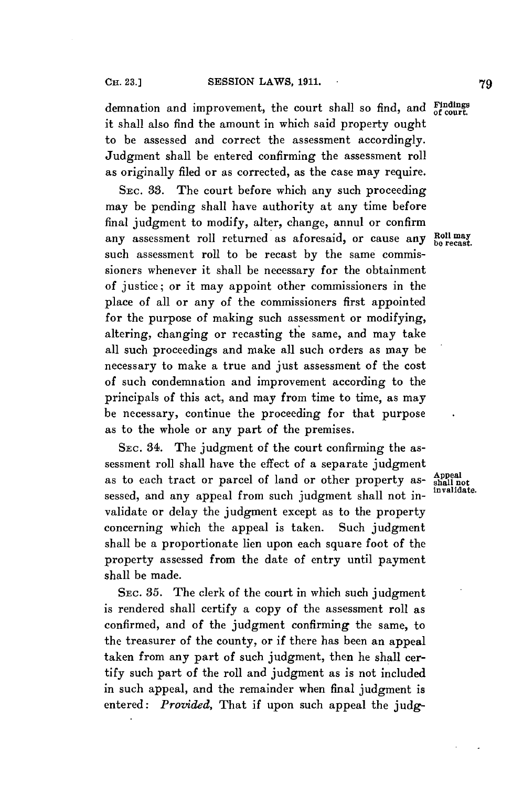demnation and improvement, the court shall so find, and **Mindings** it shall also find the amount in which said property ought to be assessed and correct the assessment accordingly. Judgment shall be entered confirming the assessment roll as originally filed or as corrected, as the case may require.

**SEC. 33.** The court before which any such proceeding may be pending shall have authority at any time before final judgment to modify, alter, change, annul or confirm any assessment roll returned as aforesaid, or cause any  $Rol$  may no recast. such assessment roll to be recast **by** the same commissioners whenever it shall be necessary for the obtainment of justice; or it may appoint other commissioners in the place of all or any of the commissioners first appointed for the purpose of making such assessment or modifying, altering, changing or recasting the same, and may take all such proceedings and make all such orders as may be necessary to make a true and just assessment of the cost of such condemnation and improvement according to the principals of this act, and may from time to time, as may be necessary, continue the proceeding for that purpose as to the whole or any part of the premises.

SEC. 34. The judgment of the court confirming the assessment roll shall have the effect of a separate judgment **Appeal** as to each tract or parcel of land or other property as- **shall not** sessed, and any appeal from such judgment shall not invalidate or delay the judgment except as to the property concerning which the appeal is taken. Such judgment shall be a proportionate lien upon each square foot of the property assessed from the date of entry until payment shall be made.

**SEC. 35.** The clerk of the court in which such judgment is rendered shall certify a copy of the assessment roll as confirmed, and of the judgment confirming the same, to the treasurer of the county, or if there has been an appeal taken from any part of such judgment, then he shall certify such part of the roll and judgment as is not included in such appeal, and the remainder when final judgment is entered: *Provided,* That if upon such appeal the **judg-**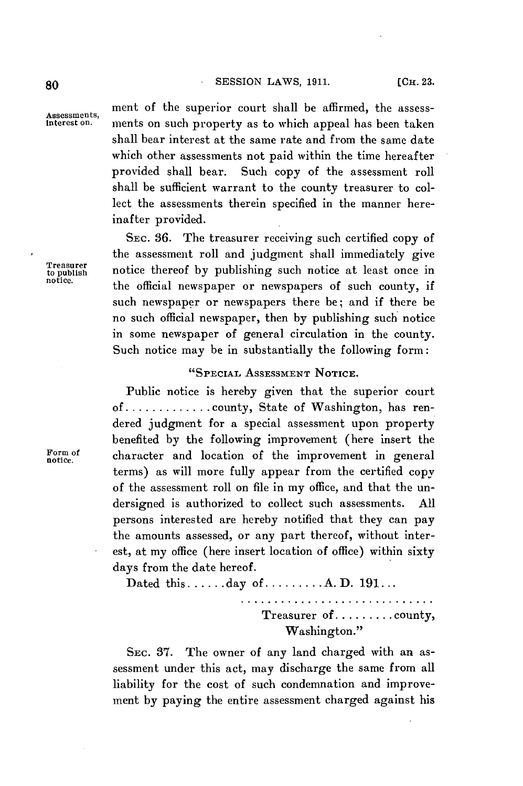**80 . SESSION** LAWS, **1911.**

**Assessments,**

ment of the superior court shall be affirmed, the assessments on such property as to which appeal has been taken shall bear interest at the same rate and from the same date which other assessments not paid within the time hereafter provided shall bear. Such copy of the assessment roll shall be sufficient warrant to the county treasurer to collect the assessments therein specified in the manner hereinafter provided.

**SEC. 36.** The treasurer receiving such certified copy of the assessment roll and judgment shall immediately give notice thereof by publishing such notice at least once in the official newspaper or newspapers of such county, if such newspaper or newspapers there be; and if there be no such official newspaper, then **by** publishing such notice in some newspaper of general circulation in the county. Such notice may be in substantially the following form:

# "SPECIAL **ASSESSMENT NOTICE.**

Public notice is hereby given that the superior court of **.............** county, State of Washington, has rendered judgment for a special assessment upon property benefited **by** the following improvement (here insert the Form of **character** and location of the improvement in general terms) as will more fully appear from the certified copy of the assessment roll on file in my office, and that the undersigned is authorized to collect such assessments. **All** persons interested are hereby notified that they can pay the amounts assessed, or any part thereof, without interest, at my office (here insert location of office) within sixty days from the date hereof.

Dated **this......day of.........A.D. 191...**

Treasurer of **.........** county, Washington."

**SEC. 37.** The owner of any land charged with an assessment under this act, may discharge the same from all liability for the cost of such condemnation and improvement **by** paying the entire assessment charged against his

**Treasurer**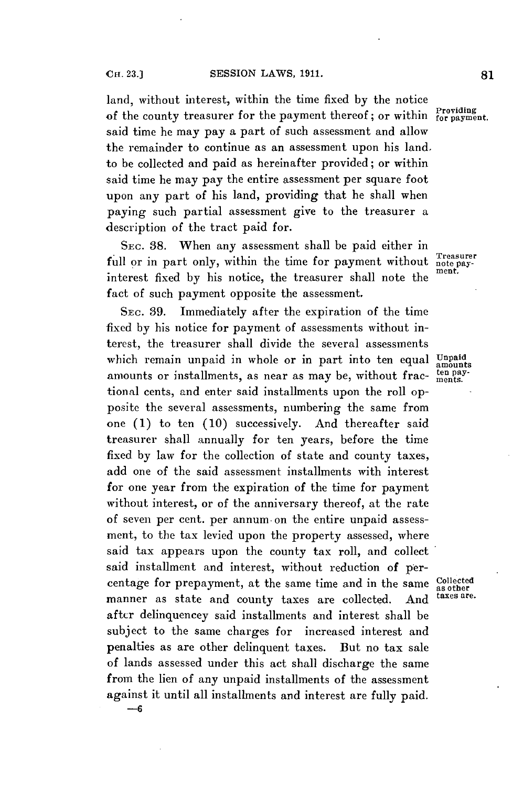land, without interest, within the time fixed **by** the notice of the county treasurer for the payment thereof; or within  $\frac{P}{for$  payment. said time he may pay a part of such assessment and allow the remainder to continue as an assessment upon his land. to be collected and paid as hereinafter provided; or within said time he may pay the entire assessment per square foot upon any part of his land, providing that he shall when paying such partial assessment give to the treasurer a description of the tract paid for.

**SEC. 38.** When any assessment shall **be** paid either in full or in part only, within the time for payment without  $\frac{3}{\text{Test}}$ interest fixed by his notice, the treasurer shall note the fact of such payment opposite the assessment.

**SEC. 39.** Immediately after the expiration of the time fixed **by** his notice for payment of assessments without interest, the treasurer shall divide the several assessments which remain unpaid in whole or in part into ten equal Unpaid amounts or installments, as near as may be, without frac-  $\frac{\text{tens}}{\text{ments}}$ . tional cents, and enter said installments upon the roll opposite the several assessments, numbering the same from one **(1)** to ten **(10)** successively. And thereafter said treasurer shall annually for ten years, before the time fixed **by** law for the collection of state and county taxes, add one of the said assessment installments with interest for one year from the expiration of the time for payment without interest, or of the anniversary thereof, at the rate of seven per cent. per annum. on the entire unpaid assessment, to the tax levied upon the property assessed, where said tax appears upon the county tax roll, and collect said installment and interest, without reduction of percentage for prepayment, at the same time and in the same Collected manner as state and county taxes are collected. And after delinquencey said installments and interest shall be subject to the same charges for increased interest and penalties as are other delinquent taxes. But no tax sale of lands assessed under this act shall discharge the same from the lien of any unpaid installments of the assessment against it until all installments and interest are fully paid. **-- 6**

taxes are.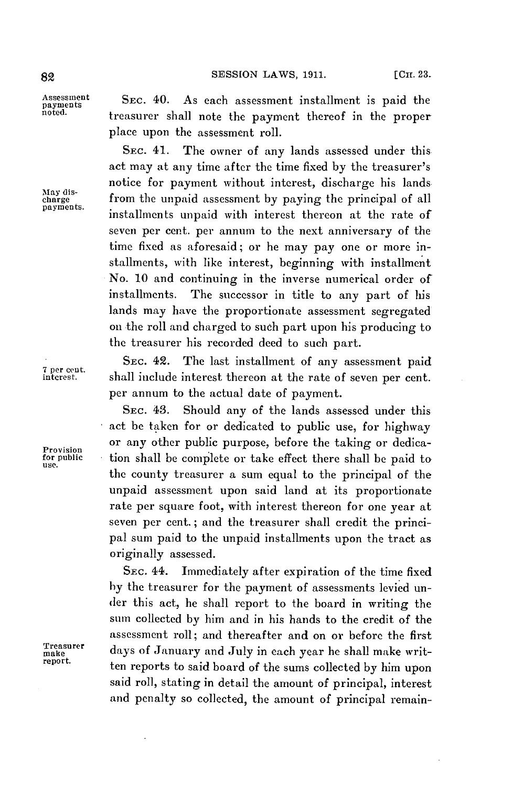Assessment **SEC. 40.** As each assessment installment is paid the payments treasurer shall note the payment thereof in the proper place upon the assessment roll.

SEC. 41. The owner of any lands assessed under this act may at any time after the time fixed **by** the treasurer's notice for payment without interest, discharge his lands May dis-<br>charge from the unpaid assessment by paying the principal of all<br>payments. installments unpaid with interest thereon at the rate of seven per cent. per annum to the next anniversary of the time fixed as aforesaid; or he may pay one or more installments, with like interest, beginning with installment No. **10** and continuing in the inverse numerical order of installments. The successor in title to any part of his lands may have the proportionate assessment segregated on the roll and charged to such part upon his producing to the treasurer his recorded deed to such part.

SEC. 42. The last installment of any assessment paid<br>
<sup>7</sup><sup>per cent.</sup> shall include interest thereon at the rate of seven per cent. shall include interest thereon at the rate of seven per cent. per annum to the actual date of payment.

**SEC.** 43. Should any of the lands assessed under this act be taken for or dedicated to public use, for highway or any other public purpose, before the taking or dedica-<br>
for public stion shall be complete or take effect there shall be paid to for public tion shall be comiplete or take effect there shall be paid to **use.** the county treasurer a sum equal to the principal of the unpaid assessment upon said land at its proportionate rate per square foot, with interest thereon for one year at seven per cent. **;** and the treasurer shall credit the principal sum paid to the unpaid installments upon the tract as originally assessed.

SEC. 44. Immediately after expiration of the time fixed **by** the treasurer for the payment of assessments levied under this act, he shall report to the board in writing the sum collected **by** him and in his hands to the credit of the assessment roll; and thereafter and on or before the first Treasurer days of January and July in each year he shall make writreport. ten reports to said board of the sums collected **by** him upon said roll, stating in detail the amount of principal, interest and penalty so collected, the amount of principal remain-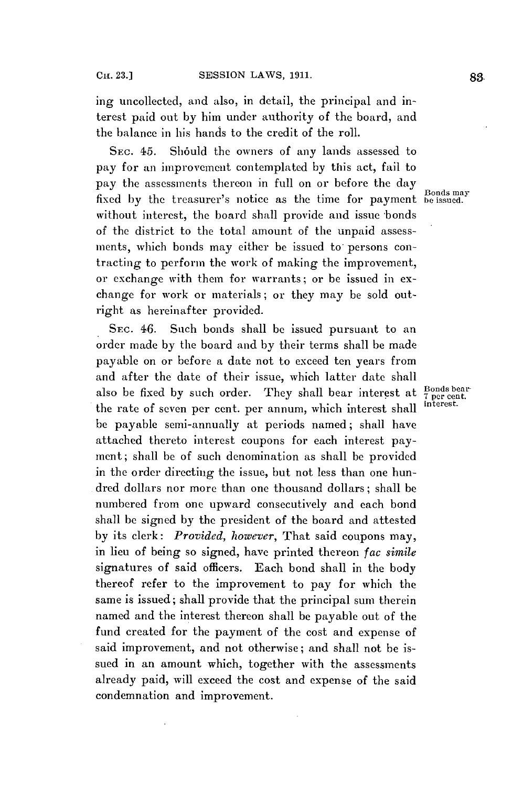ing uncollected, and also, in detail, the principal and interest paid out **by** him under authority of the board, and the balance in his hands to the credit of the roll.

SEC. 45. Should the owners of any lands assessed to pay for an improvement contemplated **by** this act, fail to pay the assessments thereon in full on or before the day Bonds may fixed **by** the treasurer's notice as the time for payment be issued. without interest, the board shall provide and issue bonds of the district to the total amount of the unpaid assessments, which bonds may either be issued to persons contracting to perform the work of making the improvement, or exchange with them for warrants; or be issued in exchange for work or materials; or they may be sold outright as hereinafter provided.

**SEC.** 46. Such bonds shall **be** issued pursuant to an order made **by** the board and **by** their terms shall be made payable on or before a date not to exceed ten years from and after the date of their issue, which latter date shall also be fixed by such order. They shall bear interest at  $\frac{\text{Bonds bear}}{\text{1 per cent}}$ the rate of seven per cent. per annum, which interest shall be payable semi-annually at periods named; shall have attached thereto interest coupons for each interest payment; shall be of such denomination as shall be provided in the order directing the issue, but not less than one hundred dollars nor more than one thousand dollars; shall be numbered from one upward consecutively and each bond shall **be** signed **by** the president of the board and attested **by** its clerk: *Provided, however,* That said coupons may, in lieu of being so signed, have printed thereon *fac simile* signatures of said officers. Each bond shall in the body thereof refer to the improvement to pay for which the same is issued; shall provide that the principal sum therein named and the interest thereon shall be payable out of the fund created for the payment of the cost and expense of said improvement, and not otherwise; and shall not be issued in an amount which, together with the assessments already paid, will exceed the cost and expense of the said condemnation and improvement.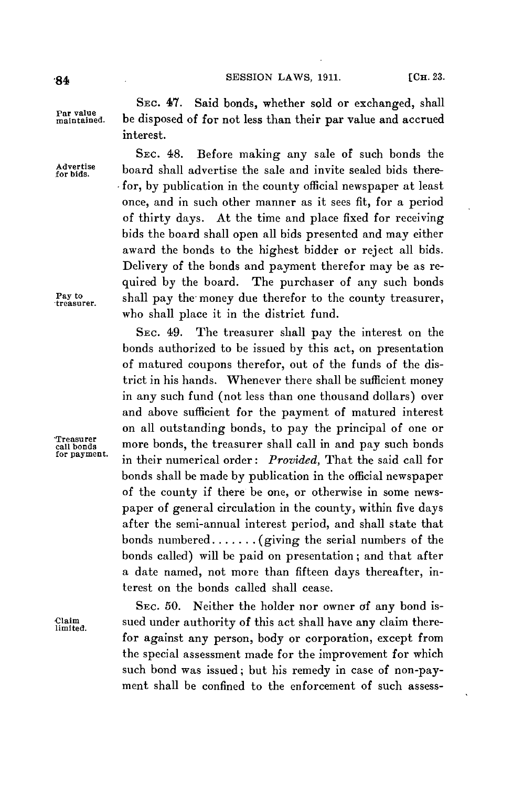**SESSION LAWS, 1911.** [CH. 23.

**Advertise**

**SEc.** 47. Said bonds, whether sold or exchanged, shall **maintained.** be disposed of for not less than their par value and accrued interest.

**SEC.** 48. Before making any sale of such bonds the **for bids,** board shall advertise the sale and invite sealed bids therefor, **by** publication in the county official newspaper at least once, and in such other manner as it sees fit, for a period of thirty days. At the time and place fixed for receiving bids the board shall open all bids presented and may either award the bonds to the highest bidder or reject all bids. Delivery of the bonds and payment therefor may be as required **by** the board. The purchaser of any such bonds Pay to shall pay the money due therefor to the county treasurer, who shall place it in the district fund.

SEc. 49. The treasurer shall pay the interest on the bonds authorized to be issued **by** this act, on presentation of matured coupons therefor, out of the funds of the district in his hands. Whenever there shall be sufficient money in any such fund (not less than one thousand dollars) over and above sufficient for the payment of matured interest on all outstanding bonds, to pay the principal of one or **'Treasurer** sc od **call bonds** more bonds, the treasurer shall call in and pay such bonds **for payment.** in their numerical order: *Provided,* That the said call for bonds shall be made **by** publication in the official newspaper of the county if there be one, or otherwise in some newspaper of general circulation in the county, within five days after the semi-annual interest period, and shall state that bonds **numbered.......** (giving the serial numbers of the bonds called) will be paid on presentation; and that after a date named, not more than fifteen days thereafter, **in**terest on the bonds called shall cease.

**SEC. 50.** Neither the holder nor owner of any bond is-Claim sued under authority of this act shall have any claim there- limited. for against any person, body or corporation, except from the special assessment made for the improvement for which such bond was issued; but his remedy in case of non-payment shall **be** confined to the enforcement of such assess-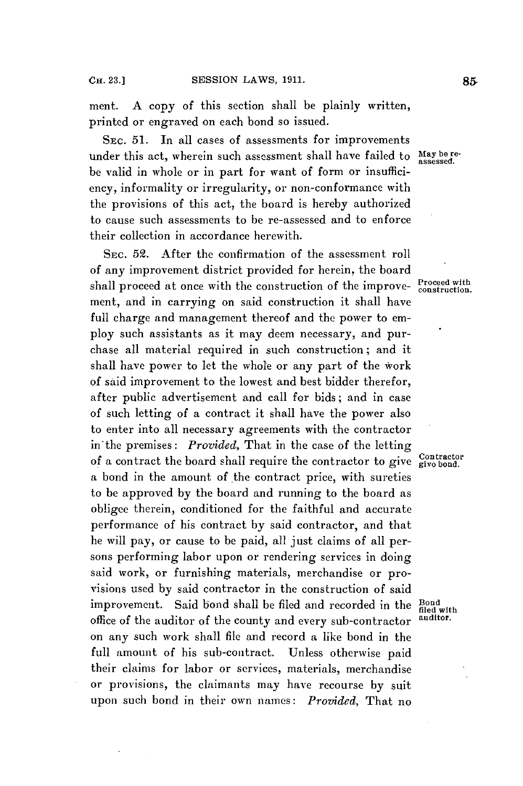ment. **A** copy of this section shall be plainly written, printed or engraved on each bond so issued.

SEC. **51.** In all cases of assessments for improvements under this act, wherein such assessment shall have failed to May be rebe valid in whole or in part for want of form or insufficiency, informality or irregularity, or non-conformance with the provisions of this act, the board is hereby authorized to cause such assessments to be re-assessed and to enforce their collection in accordance herewith.

**SEC. 52.** After the confirmation of the assessment roll of any improvement district provided for herein, the board shall proceed at once with the construction of the improve- **Proceed with** ment, and in carrying on said construction it shall have full charge and management thereof and the power to employ such assistants as it may deem necessary, and purchase all material required in such construction; and it shall have power to let the whole or any part of the work of said improvement to the lowest and best bidder therefor, after public advertisement and call for bids; and in case of such letting of a contract it shall have the power also to enter into all necessary agreements with the contractor in'the premises: *Provided,* That in the case of the letting of a contract the board shall require the contractor to give **Contractor** a bond in the amount of the contract price, with sureties to be approved **by** the board and running to the board as obligee therein, conditioned for the faithful and accurate performance of his contract **by** said contractor, and that he will pay, or cause to be paid, all just claims of all persons performing labor upon or rendering services in doing said work, or furnishing materials, merchandise or provisions used **by** said contractor in the construction of said improvement. Said bond shall be filed and recorded in the **Bond** with office of the auditor of the county and every sub-contractor **auditor.** on any such work shall **file** and record a like bond in the full amount of his sub-contract. Unless otherwise paid their claims for labor or services, materials, merchandise or provisions, the claimants may have recourse **by** suit upon such bond in their own names: *Provided,* That no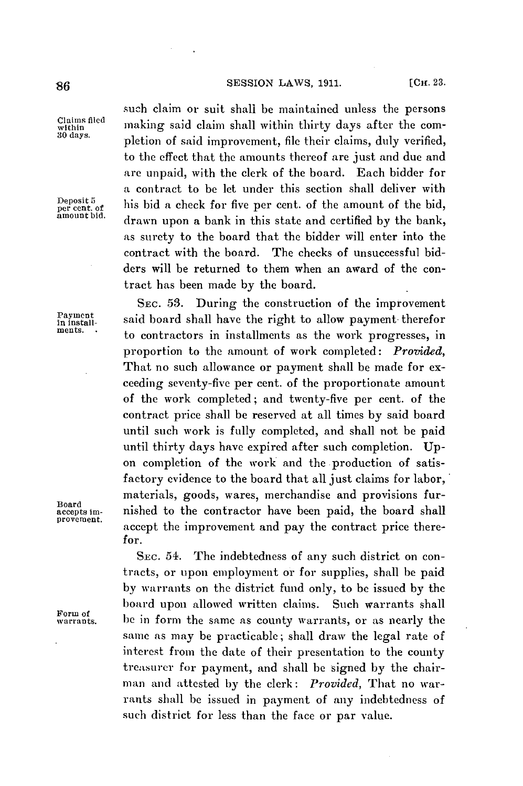**SESSION** LAWS, **1911.** [Cm. **23. 86**

Deposit 5<br>per cent. of<br>amount bid.

**Board**

Form of

such claim or suit shall be maintained unless the persons Claims filed making said claim shall within thirty days after the com-*<sup>30</sup>*days. pletion of said improvement, **file** their claims, duly verified, to the effect that the amounts thereof are just and due and are unpaid, with the clerk of the board. Each bidder for a contract to be let under this section shall deliver with per cent. **of his** bid a check for five per cent. of the amount of the bid, **amount bid.** drawn upon a bank in this state and certified **by** the bank, as surety to the board that the bidder will enter into the contract with the board. The checks of unsuccessful bidders will be returned to them when an award of the contract has been made **by** the board.

SEC. **53.** During the construction of the improvement Payment said board shall have the right to allow payment therefor<br>ments. to contractors in installments as the work progresses, in proportion to the amount of work completed: *Provided,* That no such allowance or payment shall be made for exceeding seventy-five per cent. of the proportionate amount of the work completed; and twenty-five per cent. of the contract price shall be reserved at all times **by** said board until such work is **fully** completed, and shall not be paid until thirty days have expired after such completion. **Up**on completion of the work and the production of satisfactory evidence to the board that all just claims for labor, materials, goods, wares, merchandise and provisions fur**accepts im-** nished to the contractor have been paid, the board shall accept the improvement and pay the contract price therefor.

> **SEC.** 54. The indebtedness of any such district on contracts, or upon employment or for supplies, shall be paid **by** warrants on the district fund only, to **be** issued **by** the board upon allowed written claims. Such warrants shall **warrants.** be in form the same as county warrants, or as nearly the same as may be practicable; shall draw the legal rate of interest from the date of their presentation to the county treasurer for payment, and shall be signed **by** the chairman and attested **by** the clerk: *Provided,* That no warrants shall **be** issued in payment of any indebtedness of **such** district for less than the face or par value.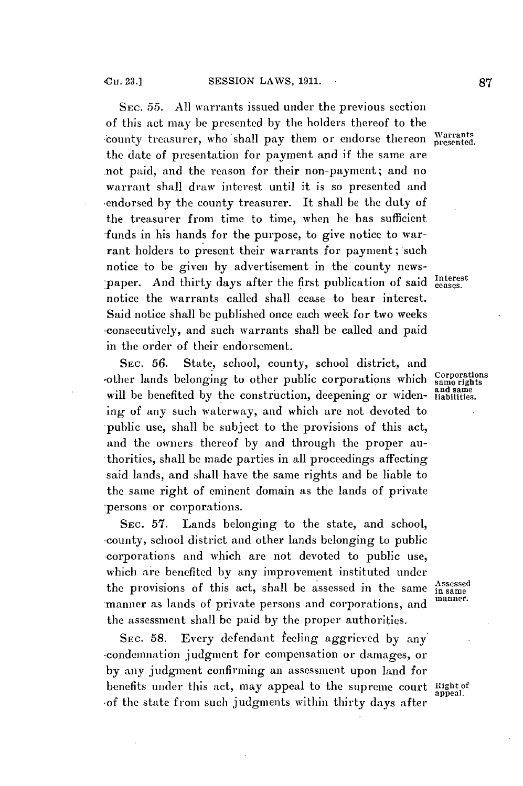SEC. **55. All** warrants issued under the previous section of this act may **be** presented **by** the holders thereof to the \*county treasurer, who shall pay them or endorse thereon Warrants the date of presentation for payment and if the same are not paid, and the reason for their non-payment; and no warrant shall draw interest until it is so presented and 'endorsed **by** the county treasurer. It shall be the duty of the treasurer from time to time, when he has sufficient funds in his hands for the purpose, to give notice to warrant holders to present their warrants for payment; such notice to be given **by** advertisement in the county newspaper. And thirty days after the first publication of said Interest notice the warrants called shall cease to bear interest. Said notice shall **be** published once each week for two weeks .consecutively, and such warrants shall be called and paid in the order of their endorsement.

SEC. **56.** State, school, county, school district, and -other lands belonging to other public corporations which  $\frac{Corporations}{\text{same rights}}$  will be benefited by the construction, deepening or widenwill be benefited by the construction, deepening or widening of any such waterway, and which are not devoted to public use, shall **be** subject to the provisions of this act, and the owners thereof **by** and through the proper authorities, shall **be** made parties in all proceedings affecting said lands, and shall have the same rights and be liable to the same right **of** eminent domain as the lands of private persons or corporations.

**SEc. 57.** Lands belonging to the state, and school, county, school district and other lands belonging to public corporations and which are not devoted to public use, which are benefited **by** any improvement instituted under the provisions of this act, shall be assessed in the same  $\frac{\text{Assessed}}{\text{in same}}$ manner as lands of private persons and corporations, and the assessment shall **be** paid **by** the proper authorities.

**SEC. 58.** Every defendant feeling aggrieved **by** any -condemnation judgment for compensation or damages, or **by** any judgment confirming an assessment upon land for benefits under this act, may appeal to the supreme court **Right** of .of the state from such judgments within thirty days after

appeal.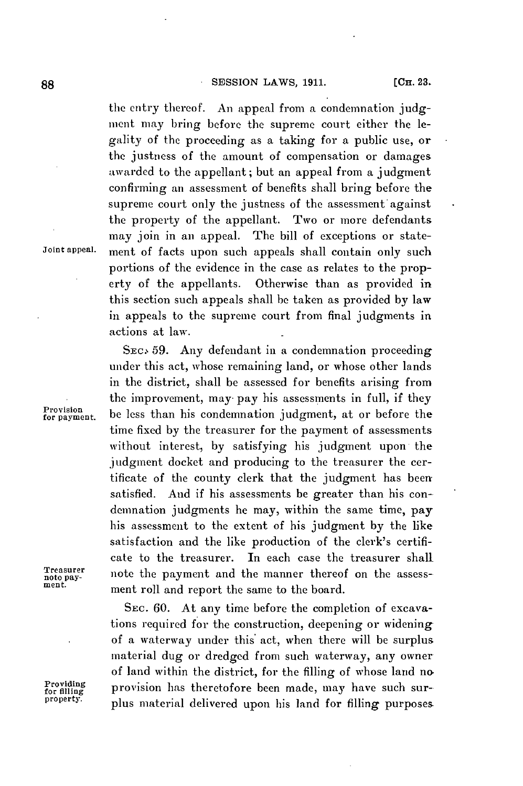the entry thereof. An appeal from a condemnation **judg**ment may bring before the supreme court either the legality of the proceeding as a taking for a public use, or the justness of the amount of compensation or damages awarded to the appellant; but an appeal from a judgment confirming an assessment of benefits shall bring before the supreme court only the justness of the assessment against the property of the appellant. Two or more defendants may join in an appeal. The bill of exceptions or state-**Joint appeal.** ment of facts upon such appeals shall contain only such portions of the evidence in the case as relates to the property of the appellants. Otherwise than as provided in this section such appeals shall **be** taken as provided **by** law in appeals to the supreme court from final judgments in actions at law.

**SEc. 59.** Any defendant in a condemnation proceeding under this act, whose remaining land, or whose other lands in the district, shall be assessed for benefits arising from the improvement, may pay his assessments in full, if they Provision for payment. be less than his condemnation judgment, at or before the time fixed **by** the treasurer for the payment of assessments without interest, **by** satisfying his judgment upon the judgment docket and producing to the treasurer the certificate of the county clerk that the judgment has been satisfied. And if his assessments be greater than his condemnation judgments he may, within the same time, pay his assessment to the extent of his judgment **by** the like satisfaction and the like production of the clerk's certificate to the treasurer. In each case the treasurer shall Treasurer note the payment and the manner thereof on the assess-<br>ment. **ment roll** and report the same to the board.

SEC. 60. At any time before the completion of excavations required for the construction, deepening or widening of a waterway under this' act, when there will be surplus material dug or dredged from such waterway, any owner of land within the district, for the filling of whose land no **Providing provision has theretofore been made, may have such sur- property. plus material delivered upon his land for filling purposes**.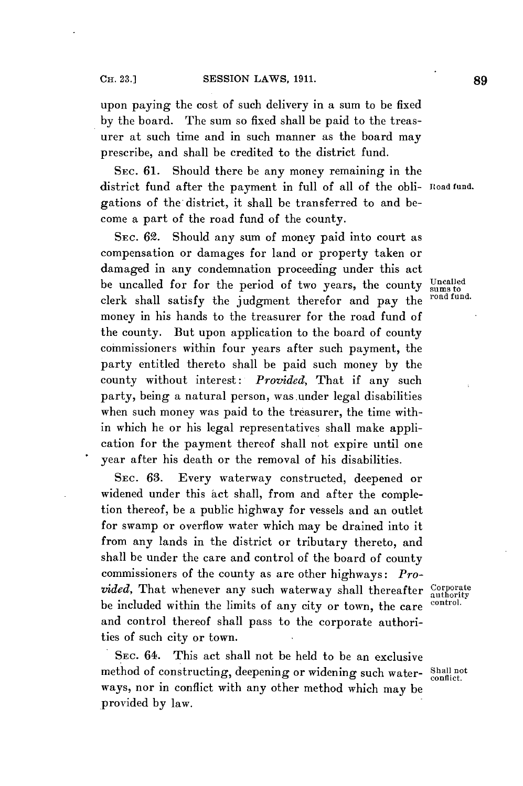upon paying the cost of such delivery in a sum to be fixed **by** the board. The sum so fixed shall be paid to the treasurer at such time and in such manner as the board may prescribe, and shall be credited to the district fund.

**SEC. 61.** Should there be any money remaining in the district fund after the payment in full of all of the obli- Road fund. gations of the district, it shall be transferred to and become a part of the road fund of the county.

SEc. **62.** Should any sum of money paid into court as compensation or damages for land or property taken or damaged in any condemnation proceeding under this act be uncalled for for the period of two years, the county **unsalled**<br>clark aboll estimate the independent theories and **proper** the road fund. clerk shall satisfy the judgment therefor and pay the money in his hands to the treasurer for the road fund of the county. But upon application to the board of county commissioners within four years after such payment, the party entitled thereto shall be paid such money **by** the county without interest: *Provided,* That if any such party, being a natural person, was.under legal disabilities when such money was paid to the treasurer, the time within which he or his legal representatives shall make application for the payment thereof shall not expire until one year after his death or the removal of his disabilities.

SEC. **63.** Every waterway constructed, deepened or widened under this act shall, from and after the completion thereof, be a public highway for vessels and an outlet for swamp or overflow water which may be drained into it from any lands in the district or tributary thereto, and shall be under the care and control of the board of county commissioners of the county as are other highways: *Provided*, That whenever any such waterway shall thereafter <sup>Corporate</sup><br>he included within the limits of one situ, at the control control. be included within the limits of any city or town, the care and control thereof shall pass to the corporate authorities of such city or town.

**SEC.** 64. This act shall not be held to be an exclusive method of constructing, deepening or widening such water- Shall not ways, nor in conflict with any other method which may be provided **by** law.